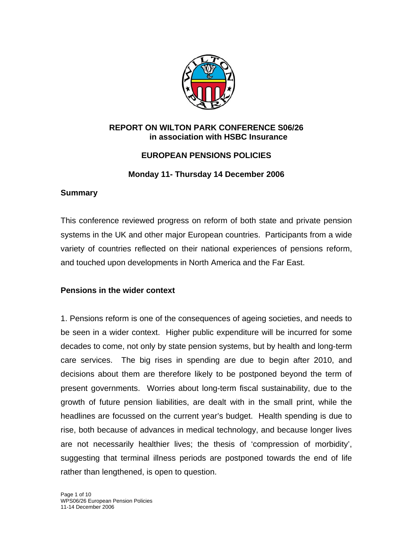

### **REPORT ON WILTON PARK CONFERENCE S06/26 in association with HSBC Insurance**

# **EUROPEAN PENSIONS POLICIES**

# **Monday 11- Thursday 14 December 2006**

## **Summary**

This conference reviewed progress on reform of both state and private pension systems in the UK and other major European countries. Participants from a wide variety of countries reflected on their national experiences of pensions reform, and touched upon developments in North America and the Far East.

# **Pensions in the wider context**

1. Pensions reform is one of the consequences of ageing societies, and needs to be seen in a wider context. Higher public expenditure will be incurred for some decades to come, not only by state pension systems, but by health and long-term care services. The big rises in spending are due to begin after 2010, and decisions about them are therefore likely to be postponed beyond the term of present governments. Worries about long-term fiscal sustainability, due to the growth of future pension liabilities, are dealt with in the small print, while the headlines are focussed on the current year's budget. Health spending is due to rise, both because of advances in medical technology, and because longer lives are not necessarily healthier lives; the thesis of 'compression of morbidity', suggesting that terminal illness periods are postponed towards the end of life rather than lengthened, is open to question.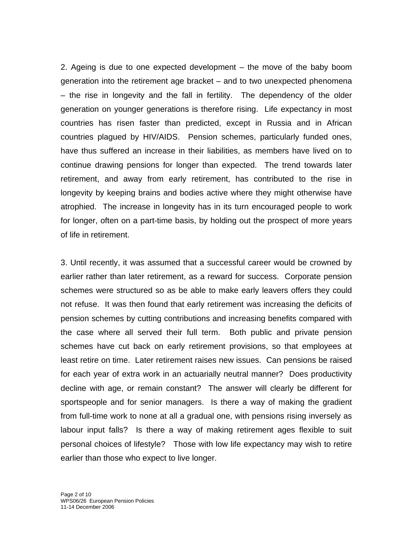2. Ageing is due to one expected development – the move of the baby boom generation into the retirement age bracket – and to two unexpected phenomena – the rise in longevity and the fall in fertility. The dependency of the older generation on younger generations is therefore rising. Life expectancy in most countries has risen faster than predicted, except in Russia and in African countries plagued by HIV/AIDS. Pension schemes, particularly funded ones, have thus suffered an increase in their liabilities, as members have lived on to continue drawing pensions for longer than expected. The trend towards later retirement, and away from early retirement, has contributed to the rise in longevity by keeping brains and bodies active where they might otherwise have atrophied. The increase in longevity has in its turn encouraged people to work for longer, often on a part-time basis, by holding out the prospect of more years of life in retirement.

3. Until recently, it was assumed that a successful career would be crowned by earlier rather than later retirement, as a reward for success. Corporate pension schemes were structured so as be able to make early leavers offers they could not refuse. It was then found that early retirement was increasing the deficits of pension schemes by cutting contributions and increasing benefits compared with the case where all served their full term. Both public and private pension schemes have cut back on early retirement provisions, so that employees at least retire on time. Later retirement raises new issues. Can pensions be raised for each year of extra work in an actuarially neutral manner? Does productivity decline with age, or remain constant? The answer will clearly be different for sportspeople and for senior managers. Is there a way of making the gradient from full-time work to none at all a gradual one, with pensions rising inversely as labour input falls? Is there a way of making retirement ages flexible to suit personal choices of lifestyle? Those with low life expectancy may wish to retire earlier than those who expect to live longer.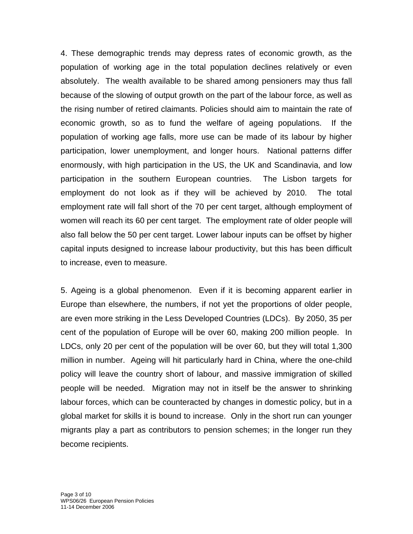4. These demographic trends may depress rates of economic growth, as the population of working age in the total population declines relatively or even absolutely. The wealth available to be shared among pensioners may thus fall because of the slowing of output growth on the part of the labour force, as well as the rising number of retired claimants. Policies should aim to maintain the rate of economic growth, so as to fund the welfare of ageing populations. If the population of working age falls, more use can be made of its labour by higher participation, lower unemployment, and longer hours. National patterns differ enormously, with high participation in the US, the UK and Scandinavia, and low participation in the southern European countries. The Lisbon targets for employment do not look as if they will be achieved by 2010. The total employment rate will fall short of the 70 per cent target, although employment of women will reach its 60 per cent target. The employment rate of older people will also fall below the 50 per cent target. Lower labour inputs can be offset by higher capital inputs designed to increase labour productivity, but this has been difficult to increase, even to measure.

5. Ageing is a global phenomenon. Even if it is becoming apparent earlier in Europe than elsewhere, the numbers, if not yet the proportions of older people, are even more striking in the Less Developed Countries (LDCs). By 2050, 35 per cent of the population of Europe will be over 60, making 200 million people. In LDCs, only 20 per cent of the population will be over 60, but they will total 1,300 million in number. Ageing will hit particularly hard in China, where the one-child policy will leave the country short of labour, and massive immigration of skilled people will be needed. Migration may not in itself be the answer to shrinking labour forces, which can be counteracted by changes in domestic policy, but in a global market for skills it is bound to increase. Only in the short run can younger migrants play a part as contributors to pension schemes; in the longer run they become recipients.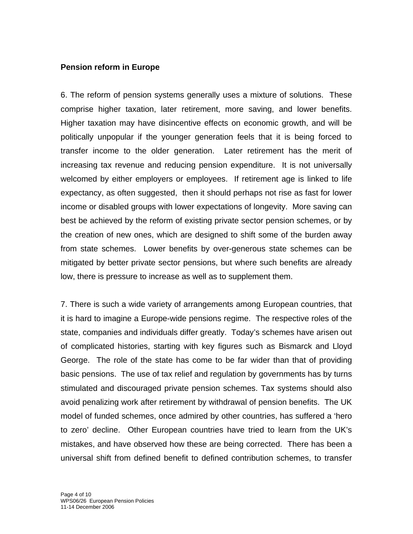### **Pension reform in Europe**

6. The reform of pension systems generally uses a mixture of solutions. These comprise higher taxation, later retirement, more saving, and lower benefits. Higher taxation may have disincentive effects on economic growth, and will be politically unpopular if the younger generation feels that it is being forced to transfer income to the older generation. Later retirement has the merit of increasing tax revenue and reducing pension expenditure. It is not universally welcomed by either employers or employees. If retirement age is linked to life expectancy, as often suggested, then it should perhaps not rise as fast for lower income or disabled groups with lower expectations of longevity. More saving can best be achieved by the reform of existing private sector pension schemes, or by the creation of new ones, which are designed to shift some of the burden away from state schemes. Lower benefits by over-generous state schemes can be mitigated by better private sector pensions, but where such benefits are already low, there is pressure to increase as well as to supplement them.

7. There is such a wide variety of arrangements among European countries, that it is hard to imagine a Europe-wide pensions regime. The respective roles of the state, companies and individuals differ greatly. Today's schemes have arisen out of complicated histories, starting with key figures such as Bismarck and Lloyd George. The role of the state has come to be far wider than that of providing basic pensions. The use of tax relief and regulation by governments has by turns stimulated and discouraged private pension schemes. Tax systems should also avoid penalizing work after retirement by withdrawal of pension benefits. The UK model of funded schemes, once admired by other countries, has suffered a 'hero to zero' decline. Other European countries have tried to learn from the UK's mistakes, and have observed how these are being corrected. There has been a universal shift from defined benefit to defined contribution schemes, to transfer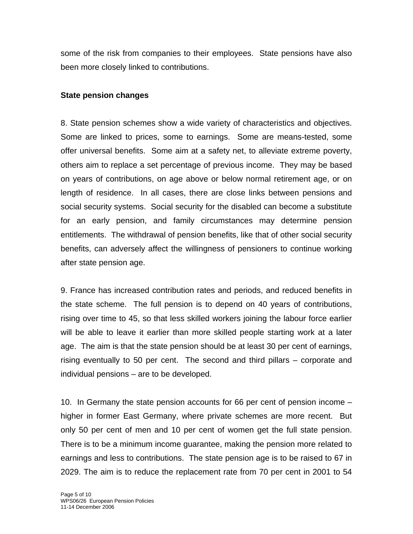some of the risk from companies to their employees. State pensions have also been more closely linked to contributions.

#### **State pension changes**

8. State pension schemes show a wide variety of characteristics and objectives. Some are linked to prices, some to earnings. Some are means-tested, some offer universal benefits. Some aim at a safety net, to alleviate extreme poverty, others aim to replace a set percentage of previous income. They may be based on years of contributions, on age above or below normal retirement age, or on length of residence. In all cases, there are close links between pensions and social security systems. Social security for the disabled can become a substitute for an early pension, and family circumstances may determine pension entitlements. The withdrawal of pension benefits, like that of other social security benefits, can adversely affect the willingness of pensioners to continue working after state pension age.

9. France has increased contribution rates and periods, and reduced benefits in the state scheme. The full pension is to depend on 40 years of contributions, rising over time to 45, so that less skilled workers joining the labour force earlier will be able to leave it earlier than more skilled people starting work at a later age. The aim is that the state pension should be at least 30 per cent of earnings, rising eventually to 50 per cent. The second and third pillars – corporate and individual pensions – are to be developed.

10. In Germany the state pension accounts for 66 per cent of pension income – higher in former East Germany, where private schemes are more recent. But only 50 per cent of men and 10 per cent of women get the full state pension. There is to be a minimum income guarantee, making the pension more related to earnings and less to contributions. The state pension age is to be raised to 67 in 2029. The aim is to reduce the replacement rate from 70 per cent in 2001 to 54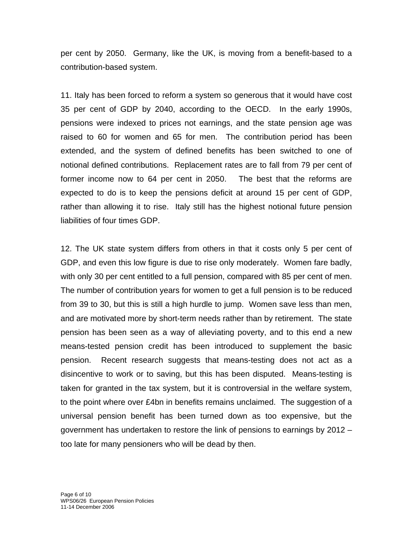per cent by 2050. Germany, like the UK, is moving from a benefit-based to a contribution-based system.

11. Italy has been forced to reform a system so generous that it would have cost 35 per cent of GDP by 2040, according to the OECD. In the early 1990s, pensions were indexed to prices not earnings, and the state pension age was raised to 60 for women and 65 for men. The contribution period has been extended, and the system of defined benefits has been switched to one of notional defined contributions. Replacement rates are to fall from 79 per cent of former income now to 64 per cent in 2050. The best that the reforms are expected to do is to keep the pensions deficit at around 15 per cent of GDP, rather than allowing it to rise. Italy still has the highest notional future pension liabilities of four times GDP.

12. The UK state system differs from others in that it costs only 5 per cent of GDP, and even this low figure is due to rise only moderately. Women fare badly, with only 30 per cent entitled to a full pension, compared with 85 per cent of men. The number of contribution years for women to get a full pension is to be reduced from 39 to 30, but this is still a high hurdle to jump. Women save less than men, and are motivated more by short-term needs rather than by retirement. The state pension has been seen as a way of alleviating poverty, and to this end a new means-tested pension credit has been introduced to supplement the basic pension. Recent research suggests that means-testing does not act as a disincentive to work or to saving, but this has been disputed. Means-testing is taken for granted in the tax system, but it is controversial in the welfare system, to the point where over £4bn in benefits remains unclaimed. The suggestion of a universal pension benefit has been turned down as too expensive, but the government has undertaken to restore the link of pensions to earnings by 2012 – too late for many pensioners who will be dead by then.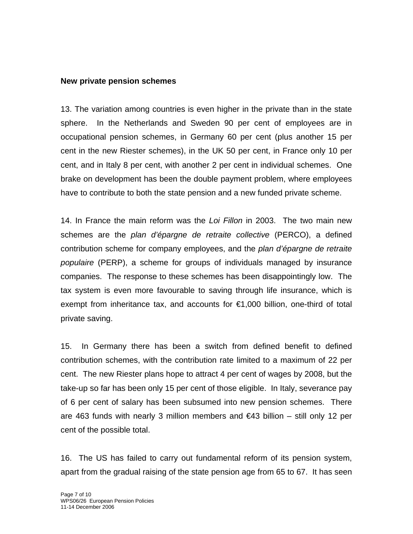#### **New private pension schemes**

13. The variation among countries is even higher in the private than in the state sphere. In the Netherlands and Sweden 90 per cent of employees are in occupational pension schemes, in Germany 60 per cent (plus another 15 per cent in the new Riester schemes), in the UK 50 per cent, in France only 10 per cent, and in Italy 8 per cent, with another 2 per cent in individual schemes. One brake on development has been the double payment problem, where employees have to contribute to both the state pension and a new funded private scheme.

14. In France the main reform was the *Loi Fillon* in 2003. The two main new schemes are the *plan d'épargne de retraite collective* (PERCO), a defined contribution scheme for company employees, and the *plan d'épargne de retraite populaire* (PERP), a scheme for groups of individuals managed by insurance companies. The response to these schemes has been disappointingly low. The tax system is even more favourable to saving through life insurance, which is exempt from inheritance tax, and accounts for €1,000 billion, one-third of total private saving.

15. In Germany there has been a switch from defined benefit to defined contribution schemes, with the contribution rate limited to a maximum of 22 per cent. The new Riester plans hope to attract 4 per cent of wages by 2008, but the take-up so far has been only 15 per cent of those eligible. In Italy, severance pay of 6 per cent of salary has been subsumed into new pension schemes. There are 463 funds with nearly 3 million members and  $\epsilon$ 43 billion – still only 12 per cent of the possible total.

16. The US has failed to carry out fundamental reform of its pension system, apart from the gradual raising of the state pension age from 65 to 67. It has seen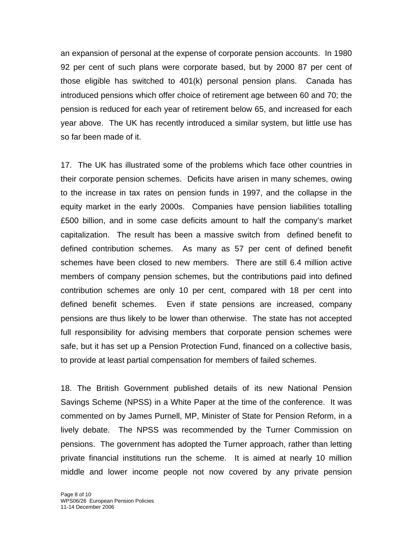an expansion of personal at the expense of corporate pension accounts. In 1980 92 per cent of such plans were corporate based, but by 2000 87 per cent of those eligible has switched to 401(k) personal pension plans. Canada has introduced pensions which offer choice of retirement age between 60 and 70; the pension is reduced for each year of retirement below 65, and increased for each year above. The UK has recently introduced a similar system, but little use has so far been made of it.

17. The UK has illustrated some of the problems which face other countries in their corporate pension schemes. Deficits have arisen in many schemes, owing to the increase in tax rates on pension funds in 1997, and the collapse in the equity market in the early 2000s. Companies have pension liabilities totalling £500 billion, and in some case deficits amount to half the company's market capitalization. The result has been a massive switch from defined benefit to defined contribution schemes. As many as 57 per cent of defined benefit schemes have been closed to new members. There are still 6.4 million active members of company pension schemes, but the contributions paid into defined contribution schemes are only 10 per cent, compared with 18 per cent into defined benefit schemes. Even if state pensions are increased, company pensions are thus likely to be lower than otherwise. The state has not accepted full responsibility for advising members that corporate pension schemes were safe, but it has set up a Pension Protection Fund, financed on a collective basis, to provide at least partial compensation for members of failed schemes.

18. The British Government published details of its new National Pension Savings Scheme (NPSS) in a White Paper at the time of the conference. It was commented on by James Purnell, MP, Minister of State for Pension Reform, in a lively debate. The NPSS was recommended by the Turner Commission on pensions. The government has adopted the Turner approach, rather than letting private financial institutions run the scheme. It is aimed at nearly 10 million middle and lower income people not now covered by any private pension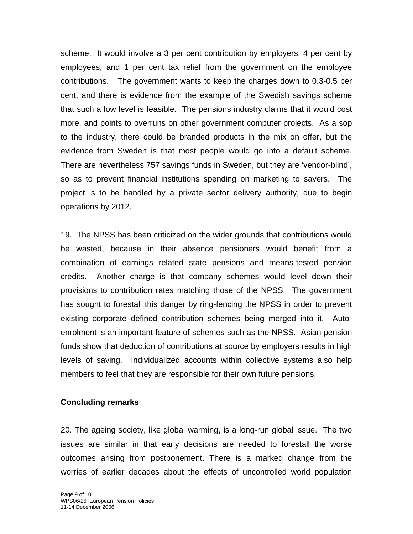scheme. It would involve a 3 per cent contribution by employers, 4 per cent by employees, and 1 per cent tax relief from the government on the employee contributions. The government wants to keep the charges down to 0.3-0.5 per cent, and there is evidence from the example of the Swedish savings scheme that such a low level is feasible. The pensions industry claims that it would cost more, and points to overruns on other government computer projects. As a sop to the industry, there could be branded products in the mix on offer, but the evidence from Sweden is that most people would go into a default scheme. There are nevertheless 757 savings funds in Sweden, but they are 'vendor-blind', so as to prevent financial institutions spending on marketing to savers. The project is to be handled by a private sector delivery authority, due to begin operations by 2012.

19. The NPSS has been criticized on the wider grounds that contributions would be wasted, because in their absence pensioners would benefit from a combination of earnings related state pensions and means-tested pension credits. Another charge is that company schemes would level down their provisions to contribution rates matching those of the NPSS. The government has sought to forestall this danger by ring-fencing the NPSS in order to prevent existing corporate defined contribution schemes being merged into it. Autoenrolment is an important feature of schemes such as the NPSS. Asian pension funds show that deduction of contributions at source by employers results in high levels of saving. Individualized accounts within collective systems also help members to feel that they are responsible for their own future pensions.

### **Concluding remarks**

20. The ageing society, like global warming, is a long-run global issue. The two issues are similar in that early decisions are needed to forestall the worse outcomes arising from postponement. There is a marked change from the worries of earlier decades about the effects of uncontrolled world population